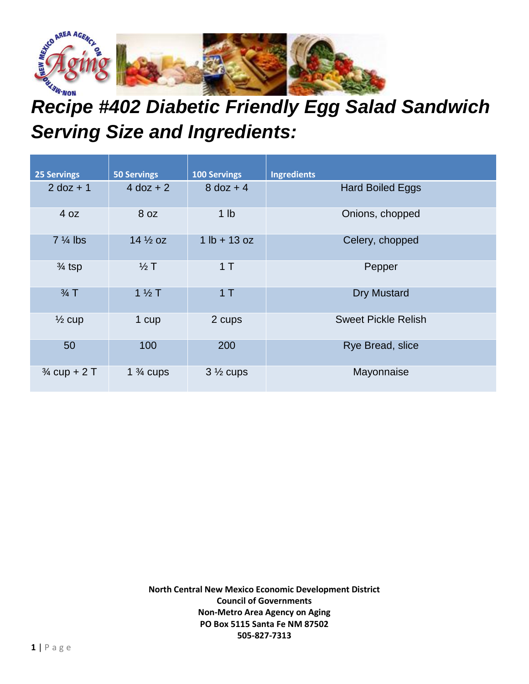

## *Recipe #402 Diabetic Friendly Egg Salad Sandwich Serving Size and Ingredients:*

| <b>25 Servings</b>      | <b>50 Servings</b>   | <b>100 Servings</b> | <b>Ingredients</b>         |
|-------------------------|----------------------|---------------------|----------------------------|
| $2$ doz + 1             | $4$ doz + 2          | $8$ doz + 4         | <b>Hard Boiled Eggs</b>    |
| 4 oz                    | 8 <sub>oz</sub>      | 1 <sub>lb</sub>     | Onions, chopped            |
| $7\frac{1}{4}$ lbs      | $14\frac{1}{2}$ oz   | $1 lb + 13 oz$      | Celery, chopped            |
| $\frac{3}{4}$ tsp       | $\frac{1}{2}$ T      | 1T                  | Pepper                     |
| $\frac{3}{4}$ T         | $1\frac{1}{2}$ T     | 1T                  | <b>Dry Mustard</b>         |
| $\frac{1}{2}$ cup       | 1 cup                | 2 cups              | <b>Sweet Pickle Relish</b> |
| 50                      | 100                  | 200                 | Rye Bread, slice           |
| $\frac{3}{4}$ cup + 2 T | 1 $\frac{3}{4}$ cups | $3\frac{1}{2}$ cups | Mayonnaise                 |

**North Central New Mexico Economic Development District Council of Governments Non-Metro Area Agency on Aging PO Box 5115 Santa Fe NM 87502 505-827-7313**